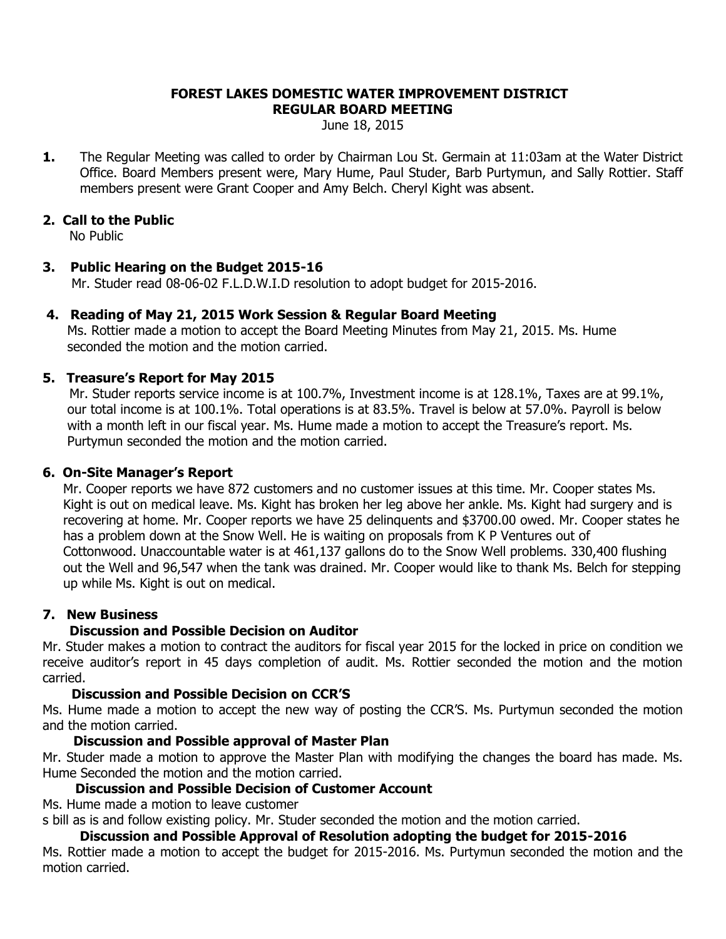#### **FOREST LAKES DOMESTIC WATER IMPROVEMENT DISTRICT REGULAR BOARD MEETING**

June 18, 2015

**1.** The Regular Meeting was called to order by Chairman Lou St. Germain at 11:03am at the Water District Office. Board Members present were, Mary Hume, Paul Studer, Barb Purtymun, and Sally Rottier. Staff members present were Grant Cooper and Amy Belch. Cheryl Kight was absent.

## **2. Call to the Public**

No Public

## **3. Public Hearing on the Budget 2015-16**

Mr. Studer read 08-06-02 F.L.D.W.I.D resolution to adopt budget for 2015-2016.

### **4. Reading of May 21, 2015 Work Session & Regular Board Meeting**

 Ms. Rottier made a motion to accept the Board Meeting Minutes from May 21, 2015. Ms. Hume seconded the motion and the motion carried.

## **5. Treasure's Report for May 2015**

Mr. Studer reports service income is at 100.7%, Investment income is at 128.1%, Taxes are at 99.1%, our total income is at 100.1%. Total operations is at 83.5%. Travel is below at 57.0%. Payroll is below with a month left in our fiscal year. Ms. Hume made a motion to accept the Treasure's report. Ms. Purtymun seconded the motion and the motion carried.

### **6. On-Site Manager's Report**

 Mr. Cooper reports we have 872 customers and no customer issues at this time. Mr. Cooper states Ms. Kight is out on medical leave. Ms. Kight has broken her leg above her ankle. Ms. Kight had surgery and is recovering at home. Mr. Cooper reports we have 25 delinquents and \$3700.00 owed. Mr. Cooper states he has a problem down at the Snow Well. He is waiting on proposals from K P Ventures out of Cottonwood. Unaccountable water is at 461,137 gallons do to the Snow Well problems. 330,400 flushing out the Well and 96,547 when the tank was drained. Mr. Cooper would like to thank Ms. Belch for stepping up while Ms. Kight is out on medical.

### **7. New Business**

# **Discussion and Possible Decision on Auditor**

Mr. Studer makes a motion to contract the auditors for fiscal year 2015 for the locked in price on condition we receive auditor's report in 45 days completion of audit. Ms. Rottier seconded the motion and the motion carried.

### **Discussion and Possible Decision on CCR'S**

Ms. Hume made a motion to accept the new way of posting the CCR'S. Ms. Purtymun seconded the motion and the motion carried.

### **Discussion and Possible approval of Master Plan**

Mr. Studer made a motion to approve the Master Plan with modifying the changes the board has made. Ms. Hume Seconded the motion and the motion carried.

### **Discussion and Possible Decision of Customer Account**

Ms. Hume made a motion to leave customer

s bill as is and follow existing policy. Mr. Studer seconded the motion and the motion carried.

# **Discussion and Possible Approval of Resolution adopting the budget for 2015-2016**

Ms. Rottier made a motion to accept the budget for 2015-2016. Ms. Purtymun seconded the motion and the motion carried.